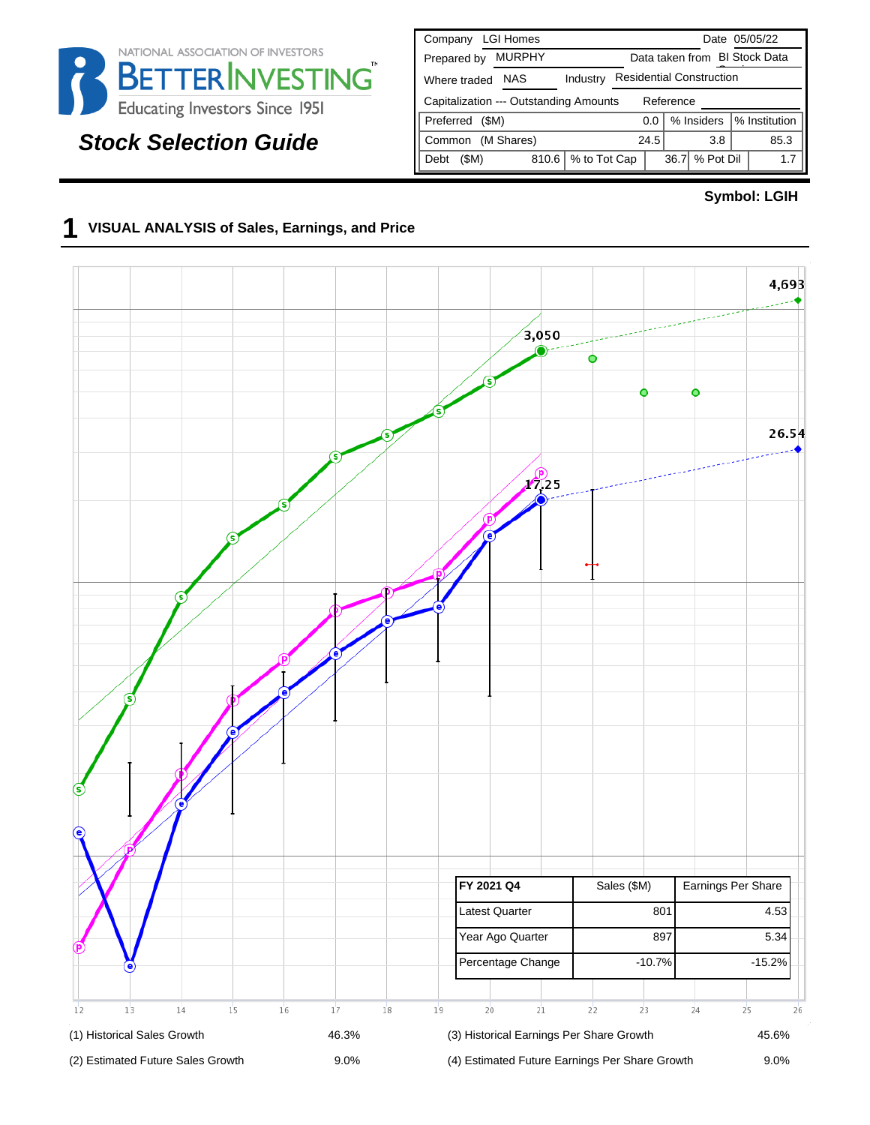

# **Stock Selection Guide**

| <b>LGI Homes</b><br>Company                                        | Date 05/05/22                      |  |  |  |  |  |  |  |  |  |
|--------------------------------------------------------------------|------------------------------------|--|--|--|--|--|--|--|--|--|
| <b>MURPHY</b><br>Prepared by                                       | Data taken from BI Stock Data      |  |  |  |  |  |  |  |  |  |
| <b>Residential Construction</b><br>NAS<br>Industry<br>Where traded |                                    |  |  |  |  |  |  |  |  |  |
| Capitalization --- Outstanding Amounts<br>Reference                |                                    |  |  |  |  |  |  |  |  |  |
| Preferred<br>(SM)                                                  | % Institution<br>% Insiders<br>0.0 |  |  |  |  |  |  |  |  |  |
| (M Shares)<br>Common                                               | 24.5<br>85.3<br>3.8                |  |  |  |  |  |  |  |  |  |
| % to Tot Cap<br>(SM)<br>810.6<br>Debt                              | % Pot Dil<br>36.7<br>1.7           |  |  |  |  |  |  |  |  |  |

#### **Symbol: LGIH**

### **1 VISUAL ANALYSIS of Sales, Earnings, and Price**

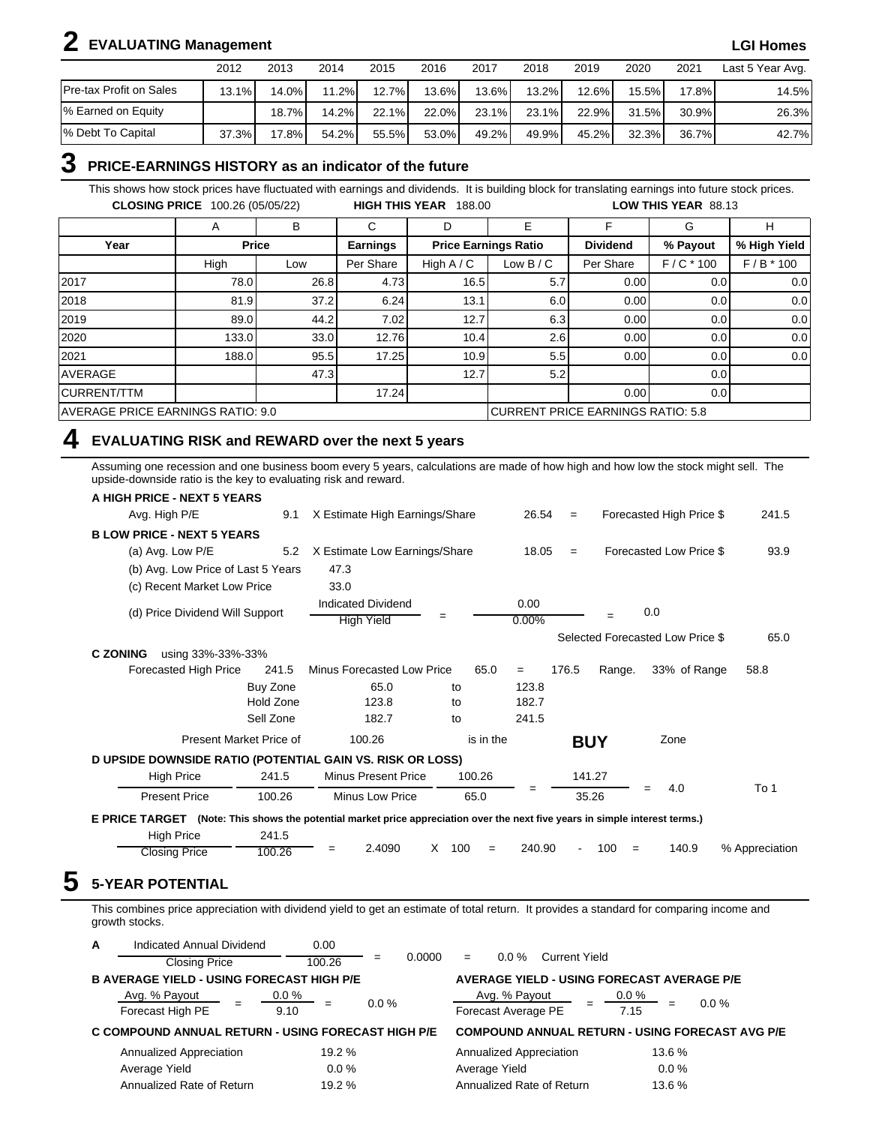# **2 EVALUATING Management LGI Homes**

|                                | 2012     | 2013     | 2014     | 2015  | 2016     | 2017     | 2018     | 2019     | 2020     | 2021     | Last 5 Year Avg. |
|--------------------------------|----------|----------|----------|-------|----------|----------|----------|----------|----------|----------|------------------|
| <b>Pre-tax Profit on Sales</b> | $13.1\%$ | 14.0%    | 11.2%    | 12.7% | $13.6\%$ | $13.6\%$ | $13.2\%$ | $12.6\%$ | $15.5\%$ | $17.8\%$ | 14.5%            |
| % Earned on Equity             |          | $18.7\%$ | $14.2\%$ | 22.1% | $22.0\%$ | $23.1\%$ | 23.1%    | $22.9\%$ | 31.5%    | 30.9%    | 26.3%            |
| % Debt To Capital              | 37.3%    | 17.8%    | 54.2%    | 55.5% | 53.0%    | 49.2%    | 49.9%    | $45.2\%$ | 32.3%    | 36.7%    | 42.7%            |

## **3 PRICE-EARNINGS HISTORY as an indicator of the future**

This shows how stock prices have fluctuated with earnings and dividends. It is building block for translating earnings into future stock prices. **CLOSING PRICE** 100.26 (05/05/22) **HIGH THIS YEAR** 188.00 **LOW THIS YEAR** 88.13

|                                   | A     | в            | C               | D            | E                                 |                 | G                | н                |  |  |
|-----------------------------------|-------|--------------|-----------------|--------------|-----------------------------------|-----------------|------------------|------------------|--|--|
| Year                              |       | <b>Price</b> | <b>Earnings</b> |              | <b>Price Earnings Ratio</b>       | <b>Dividend</b> | % Payout         | % High Yield     |  |  |
|                                   | High  | Low          | Per Share       | High $A / C$ | Low $B/C$                         | Per Share       | $F/C * 100$      | $F/B * 100$      |  |  |
| 2017                              | 78.0  | 26.8         | 4.73            | 16.5         | 5.7                               | 0.00            | 0.01             | 0.0 <sub>1</sub> |  |  |
| 2018                              | 81.9  | 37.2         | 6.24            | 13.1         | 6.0                               | 0.00            | 0.0              | 0.0              |  |  |
| 2019                              | 89.0  | 44.2         | 7.02            | 12.7         | 6.3                               | 0.00            | 0.0 <sub>1</sub> | 0.0              |  |  |
| 2020                              | 133.0 | 33.0         | 12.76           | 10.4         | 2.6                               | 0.00            | 0.0 <sub>l</sub> | 0.0              |  |  |
| 2021                              | 188.0 | 95.5         | 17.25           | 10.9         | 5.5                               | 0.00            | 0.01             | 0.0              |  |  |
| AVERAGE                           |       | 47.3         |                 | 12.7         | 5.2                               |                 | 0.0              |                  |  |  |
| CURRENT/TTM                       |       |              | 17.24           |              |                                   | 0.00            | 0.0              |                  |  |  |
| AVERAGE PRICE EARNINGS RATIO: 9.0 |       |              |                 |              | CURRENT PRICE EARNINGS RATIO: 5.8 |                 |                  |                  |  |  |

# **4 EVALUATING RISK and REWARD over the next 5 years**

Assuming one recession and one business boom every 5 years, calculations are made of how high and how low the stock might sell. The upside-downside ratio is the key to evaluating risk and reward.

| A HIGH PRICE - NEXT 5 YEARS                                                                                                  |                         |                                                |           |               |                          |                          |                                  |                |
|------------------------------------------------------------------------------------------------------------------------------|-------------------------|------------------------------------------------|-----------|---------------|--------------------------|--------------------------|----------------------------------|----------------|
| Avg. High P/E                                                                                                                | 9.1                     | X Estimate High Earnings/Share                 |           | 26.54         | $\qquad \qquad =$        |                          | Forecasted High Price \$         | 241.5          |
| <b>BLOW PRICE - NEXT 5 YEARS</b>                                                                                             |                         |                                                |           |               |                          |                          |                                  |                |
| (a) Avg. Low P/E                                                                                                             | 5.2                     | X Estimate Low Earnings/Share                  |           | 18.05         | $\qquad \qquad =$        |                          | Forecasted Low Price \$          | 93.9           |
| (b) Avg. Low Price of Last 5 Years                                                                                           |                         | 47.3                                           |           |               |                          |                          |                                  |                |
| (c) Recent Market Low Price                                                                                                  |                         | 33.0                                           |           |               |                          |                          |                                  |                |
| (d) Price Dividend Will Support                                                                                              |                         | <b>Indicated Dividend</b><br><b>High Yield</b> | $=$       | 0.00<br>0.00% |                          |                          | 0.0                              |                |
|                                                                                                                              |                         |                                                |           |               |                          |                          | Selected Forecasted Low Price \$ | 65.0           |
| <b>C ZONING</b><br>using 33%-33%-33%                                                                                         |                         |                                                |           |               |                          |                          |                                  |                |
| Forecasted High Price                                                                                                        | 241.5                   | Minus Forecasted Low Price                     | 65.0      | $=$           | 176.5                    | Range.                   | 33% of Range                     | 58.8           |
|                                                                                                                              | Buy Zone                | 65.0                                           | to        | 123.8         |                          |                          |                                  |                |
|                                                                                                                              | Hold Zone               | 123.8                                          | to        | 182.7         |                          |                          |                                  |                |
|                                                                                                                              | Sell Zone               | 182.7                                          | to        | 241.5         |                          |                          |                                  |                |
|                                                                                                                              | Present Market Price of | 100.26                                         | is in the |               |                          | <b>BUY</b>               | Zone                             |                |
| D UPSIDE DOWNSIDE RATIO (POTENTIAL GAIN VS. RISK OR LOSS)                                                                    |                         |                                                |           |               |                          |                          |                                  |                |
| <b>High Price</b>                                                                                                            | 241.5                   | <b>Minus Present Price</b>                     | 100.26    |               |                          | 141.27                   |                                  |                |
| <b>Present Price</b>                                                                                                         | 100.26                  | Minus Low Price                                | 65.0      | $=$           |                          | 35.26                    | 4.0<br>$=$                       | To 1           |
| E PRICE TARGET (Note: This shows the potential market price appreciation over the next five years in simple interest terms.) |                         |                                                |           |               |                          |                          |                                  |                |
| <b>High Price</b>                                                                                                            | 241.5                   |                                                |           |               |                          |                          |                                  |                |
| <b>Closing Price</b>                                                                                                         | 100.26                  | 2.4090<br>$=$                                  | X<br>100  | 240.90<br>$=$ | $\overline{\phantom{a}}$ | 100<br>$\qquad \qquad =$ | 140.9                            | % Appreciation |

This combines price appreciation with dividend yield to get an estimate of total return. It provides a standard for comparing income and growth stocks.

| A | Indicated Annual Dividend                          | 0.00            |               |                                                   |                                                        |  |  |  |  |  |  |
|---|----------------------------------------------------|-----------------|---------------|---------------------------------------------------|--------------------------------------------------------|--|--|--|--|--|--|
|   | <b>Closing Price</b>                               | 100.26          | 0.0000<br>$=$ | Current Yield<br>$0.0 \%$<br>$=$                  |                                                        |  |  |  |  |  |  |
|   | <b>B AVERAGE YIELD - USING FORECAST HIGH P/E</b>   |                 |               | <b>AVERAGE YIELD - USING FORECAST AVERAGE P/E</b> |                                                        |  |  |  |  |  |  |
|   | Avg. % Payout<br>Forecast High PE                  | $0.0\%$<br>9.10 | $0.0\%$       | Avg. % Payout<br>Forecast Average PE              | $0.0\%$<br>$0.0 \%$<br>7.15                            |  |  |  |  |  |  |
|   | C COMPOUND ANNUAL RETURN - USING FORECAST HIGH P/E |                 |               |                                                   | <b>COMPOUND ANNUAL RETURN - USING FORECAST AVG P/E</b> |  |  |  |  |  |  |
|   | Annualized Appreciation                            | 19.2 %          |               | Annualized Appreciation                           | 13.6 %                                                 |  |  |  |  |  |  |
|   | Average Yield                                      | $0.0\%$         |               | Average Yield                                     | $0.0\%$                                                |  |  |  |  |  |  |
|   | Annualized Rate of Return                          | 19.2 %          |               | Annualized Rate of Return                         | 13.6 %                                                 |  |  |  |  |  |  |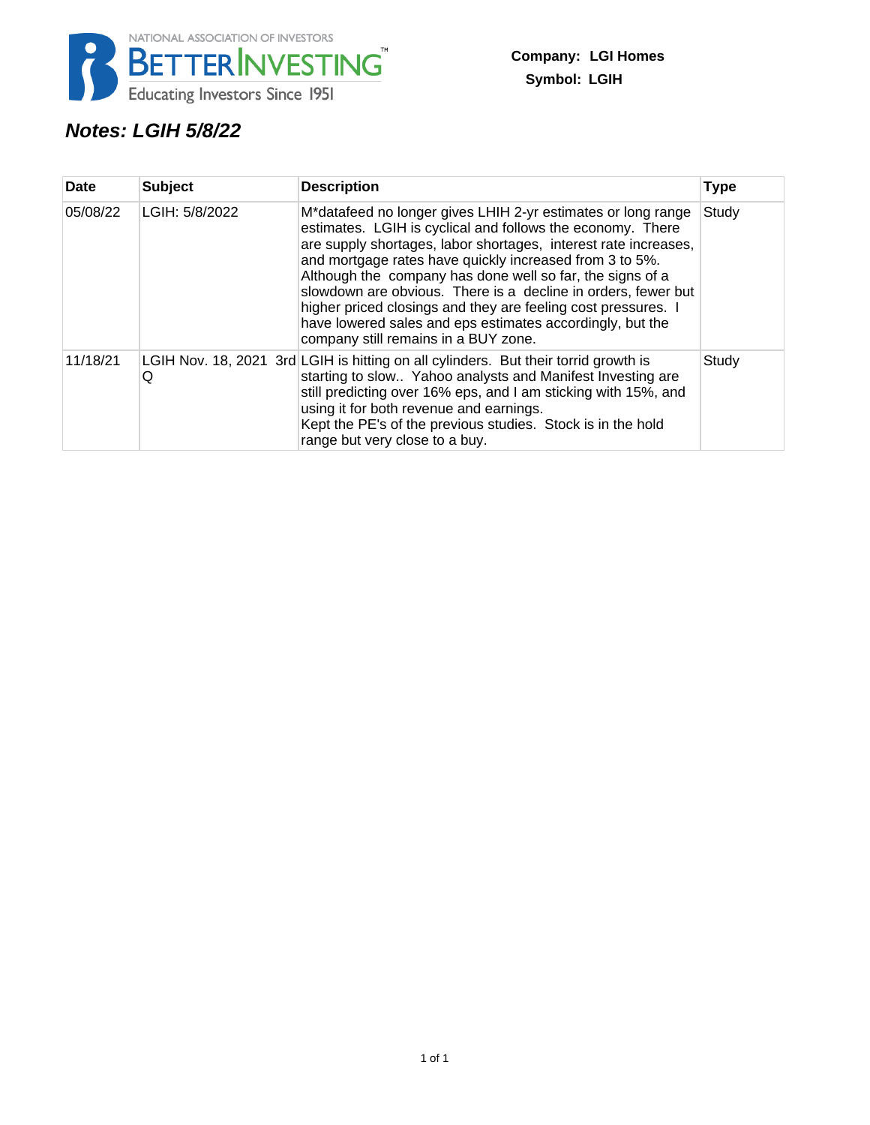

# **Notes: LGIH 5/8/22**

| <b>Date</b> | <b>Subject</b> | <b>Description</b>                                                                                                                                                                                                                                                                                                                                                                                                                                                                                                                                           | <b>Type</b> |
|-------------|----------------|--------------------------------------------------------------------------------------------------------------------------------------------------------------------------------------------------------------------------------------------------------------------------------------------------------------------------------------------------------------------------------------------------------------------------------------------------------------------------------------------------------------------------------------------------------------|-------------|
| 05/08/22    | LGIH: 5/8/2022 | M*datafeed no longer gives LHIH 2-yr estimates or long range<br>estimates. LGIH is cyclical and follows the economy. There<br>are supply shortages, labor shortages, interest rate increases,<br>and mortgage rates have quickly increased from 3 to 5%.<br>Although the company has done well so far, the signs of a<br>slowdown are obvious. There is a decline in orders, fewer but<br>higher priced closings and they are feeling cost pressures. I<br>have lowered sales and eps estimates accordingly, but the<br>company still remains in a BUY zone. | Study       |
| 11/18/21    | Q              | LGIH Nov. 18, 2021 3rd LGIH is hitting on all cylinders. But their torrid growth is<br>starting to slow Yahoo analysts and Manifest Investing are<br>still predicting over 16% eps, and I am sticking with 15%, and<br>using it for both revenue and earnings.<br>Kept the PE's of the previous studies. Stock is in the hold<br>range but very close to a buy.                                                                                                                                                                                              | Study       |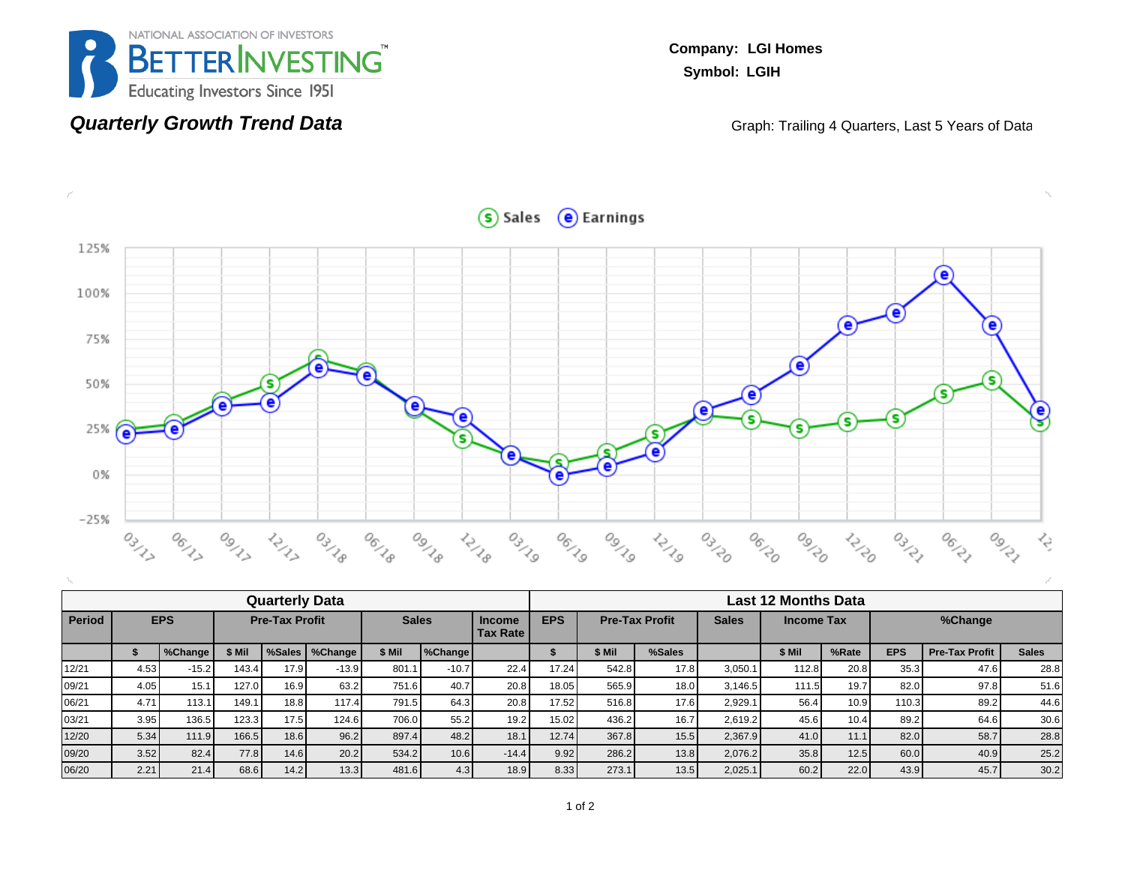

## **Quarterly Growth Trend Data**

**Company: LGI Homes Symbol: LGIH**

Graph: Trailing 4 Quarters, Last 5 Years of Data



|               |            |         |        | <b>Quarterly Data</b> |                  |        |              |         | Last 12 Months Data                                                                                          |        |        |         |        |       |            |                       |                   |  |
|---------------|------------|---------|--------|-----------------------|------------------|--------|--------------|---------|--------------------------------------------------------------------------------------------------------------|--------|--------|---------|--------|-------|------------|-----------------------|-------------------|--|
| <b>Period</b> | <b>EPS</b> |         |        | <b>Pre-Tax Profit</b> |                  |        | <b>Sales</b> |         | <b>EPS</b><br><b>Sales</b><br><b>Pre-Tax Profit</b><br><b>Income Tax</b><br><b>Income</b><br><b>Tax Rate</b> |        |        |         |        |       | %Change    |                       |                   |  |
|               |            | %Change | \$ Mil |                       | %Sales   %Change | \$ Mil | %Change      |         |                                                                                                              | \$ Mil | %Sales |         | \$ Mil | %Rate | <b>EPS</b> | <b>Pre-Tax Profit</b> | <b>Sales</b>      |  |
| 12/21         | 4.53       | $-15.2$ | 143.4  | 17.9                  | $-13.9$          | 801.1  | $-10.7$      | 22.4    | 17.24                                                                                                        | 542.8  | 17.8   | 3.050.1 | 112.8  | 20.8  | 35.3       | 47.6                  | 28.8              |  |
| 09/21         | 4.05       | 15.1    | 127.0  | 16.9                  | 63.2             | 751.6  | 40.7         | 20.8    | 18.05                                                                                                        | 565.9  | 18.0   | 3.146.5 | 111.5  | 19.7  | 82.0       | 97.8                  | 51.6              |  |
| 06/21         | 4.71       | 113.1   | 149.1  | 18.8                  | 117.4            | 791.5  | 64.3         | 20.8    | 17.52                                                                                                        | 516.8  | 17.6   | 2,929.1 | 56.4   | 10.9  | 110.3      | 89.2                  | 44.6              |  |
| 03/21         | 3.95       | 136.5   | 123.3  | 17.5                  | 124.6            | 706.0  | 55.2         | 19.2    | 15.02                                                                                                        | 436.2  | 16.7   | 2,619.2 | 45.6   | 10.4  | 89.2       | 64.6                  | 30.6              |  |
| 12/20         | 5.34       | 111.9   | 166.5  | 18.6                  | 96.2             | 897.4  | 48.2         | 18.1    | 12.74                                                                                                        | 367.8  | 15.5   | 2,367.9 | 41.0   | 11.1  | 82.0       | 58.7                  | 28.8              |  |
| 09/20         | 3.52       | 82.4    | 77.8   | 14.6                  | 20.2             | 534.2  | 10.6         | $-14.4$ | 9.92                                                                                                         | 286.2  | 13.8   | 2,076.2 | 35.8   | 12.5  | 60.0       | 40.9                  | 25.2              |  |
| 06/20         | 2.21       | 21.4    | 68.6   | 14.2                  | 13.3             | 481.6  | 4.3          | 18.9    | 8.33                                                                                                         | 273.1  | 13.5   | 2,025.1 | 60.2   | 22.0  | 43.9       | 45.7                  | 30.2 <sub>1</sub> |  |

 $S$  Sales  $\Theta$  Earnings